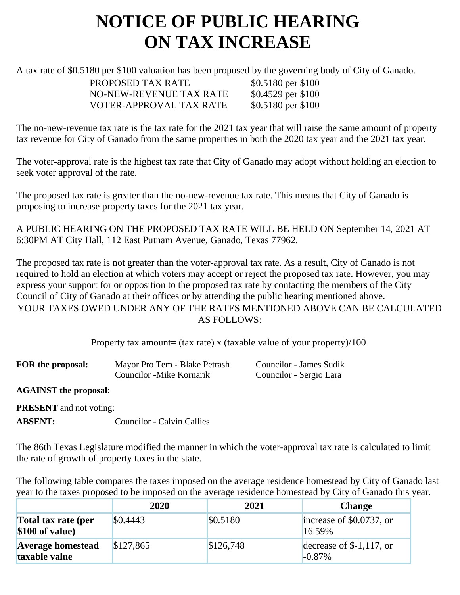## **NOTICE OF PUBLIC HEARING ON TAX INCREASE**

A tax rate of \$0.5180 per \$100 valuation has been proposed by the governing body of City of Ganado.

PROPOSED TAX RATE \$0.5180 per \$100 NO-NEW-REVENUE TAX RATE \$0.4529 per \$100 VOTER-APPROVAL TAX RATE \$0.5180 per \$100

The no-new-revenue tax rate is the tax rate for the 2021 tax year that will raise the same amount of property tax revenue for City of Ganado from the same properties in both the 2020 tax year and the 2021 tax year.

The voter-approval rate is the highest tax rate that City of Ganado may adopt without holding an election to seek voter approval of the rate.

The proposed tax rate is greater than the no-new-revenue tax rate. This means that City of Ganado is proposing to increase property taxes for the 2021 tax year.

A PUBLIC HEARING ON THE PROPOSED TAX RATE WILL BE HELD ON September 14, 2021 AT 6:30PM AT City Hall, 112 East Putnam Avenue, Ganado, Texas 77962.

The proposed tax rate is not greater than the voter-approval tax rate. As a result, City of Ganado is not required to hold an election at which voters may accept or reject the proposed tax rate. However, you may express your support for or opposition to the proposed tax rate by contacting the members of the City Council of City of Ganado at their offices or by attending the public hearing mentioned above. YOUR TAXES OWED UNDER ANY OF THE RATES MENTIONED ABOVE CAN BE CALCULATED AS FOLLOWS:

Property tax amount= (tax rate) x (taxable value of your property)/100

| FOR the proposal: | Mayor Pro Tem - Blake Petrash | Councilor - James Sudik |
|-------------------|-------------------------------|-------------------------|
|                   | Councilor - Mike Kornarik     | Councilor - Sergio Lara |

**AGAINST the proposal:**

**PRESENT** and not voting:

**ABSENT:** Councilor - Calvin Callies

The 86th Texas Legislature modified the manner in which the voter-approval tax rate is calculated to limit the rate of growth of property taxes in the state.

The following table compares the taxes imposed on the average residence homestead by City of Ganado last year to the taxes proposed to be imposed on the average residence homestead by City of Ganado this year.

|                                           | 2020      | 2021      | <b>Change</b>                          |
|-------------------------------------------|-----------|-----------|----------------------------------------|
| Total tax rate (per<br>$$100$ of value)   | \$0.4443  | \$0.5180  | increase of \$0.0737, or<br>16.59%     |
| <b>Average homestead</b><br>taxable value | \$127,865 | \$126,748 | decrease of $$-1,117$ , or<br>$-0.87%$ |